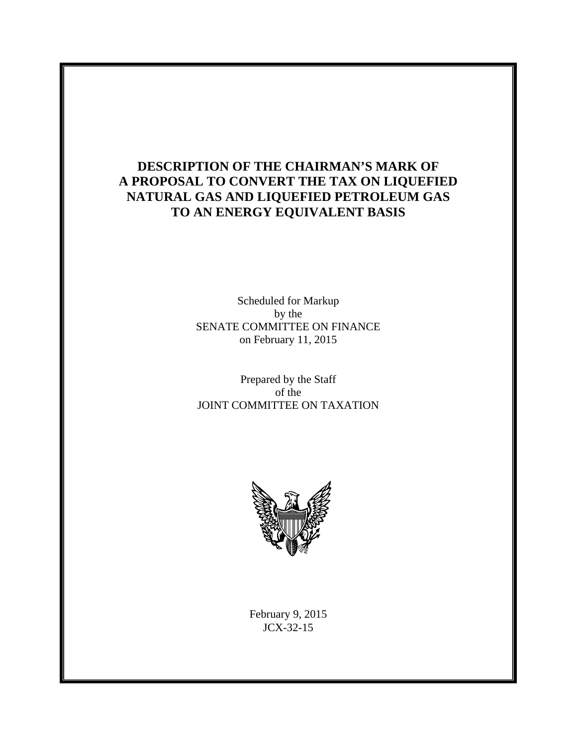# **DESCRIPTION OF THE CHAIRMAN'S MARK OF A PROPOSAL TO CONVERT THE TAX ON LIQUEFIED NATURAL GAS AND LIQUEFIED PETROLEUM GAS TO AN ENERGY EQUIVALENT BASIS**

Scheduled for Markup by the SENATE COMMITTEE ON FINANCE on February 11, 2015

Prepared by the Staff of the JOINT COMMITTEE ON TAXATION



February 9, 2015 JCX-32-15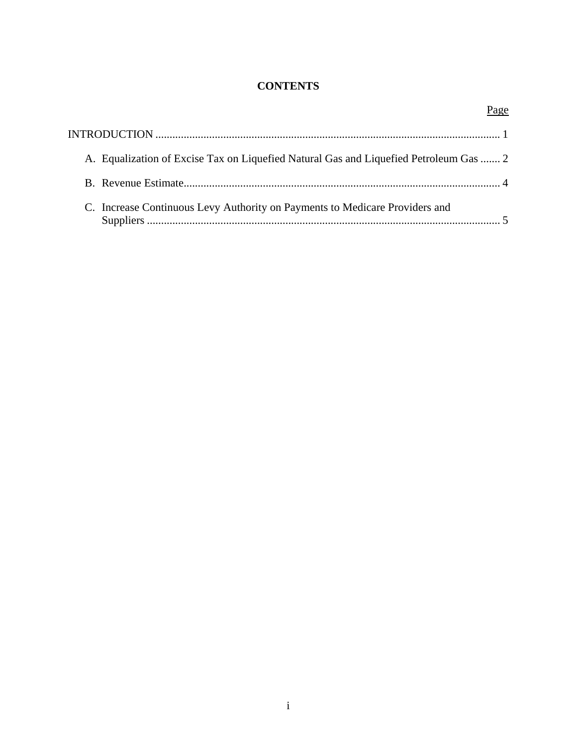## **CONTENTS**

|                                                                                       | Page |
|---------------------------------------------------------------------------------------|------|
|                                                                                       |      |
| A. Equalization of Excise Tax on Liquefied Natural Gas and Liquefied Petroleum Gas  2 |      |
|                                                                                       |      |
| C. Increase Continuous Levy Authority on Payments to Medicare Providers and           |      |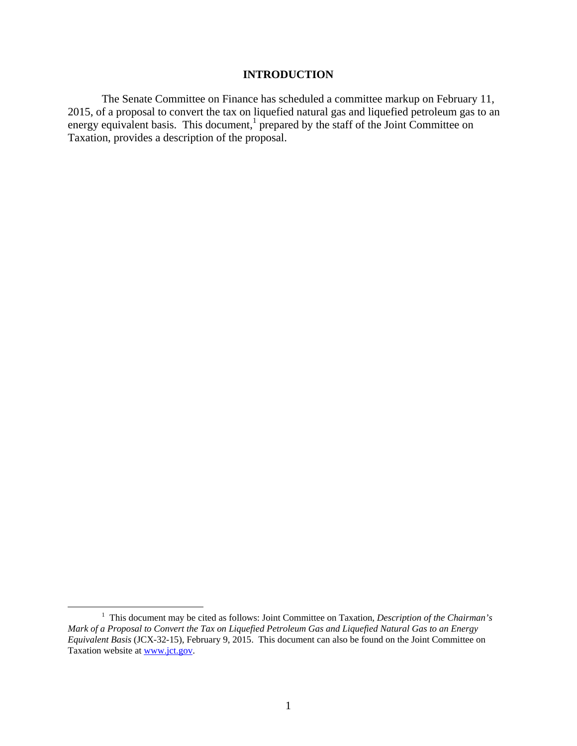### **INTRODUCTION**

The Senate Committee on Finance has scheduled a committee markup on February 11, 2015, of a proposal to convert the tax on liquefied natural gas and liquefied petroleum gas to an energy equivalent basis. This document,<sup>1</sup> prepared by the staff of the Joint Committee on Taxation, provides a description of the proposal.

 $\frac{1}{1}$ <sup>1</sup> This document may be cited as follows: Joint Committee on Taxation, *Description of the Chairman's Mark of a Proposal to Convert the Tax on Liquefied Petroleum Gas and Liquefied Natural Gas to an Energy Equivalent Basis* (JCX-32-15), February 9, 2015. This document can also be found on the Joint Committee on Taxation website at www.jct.gov.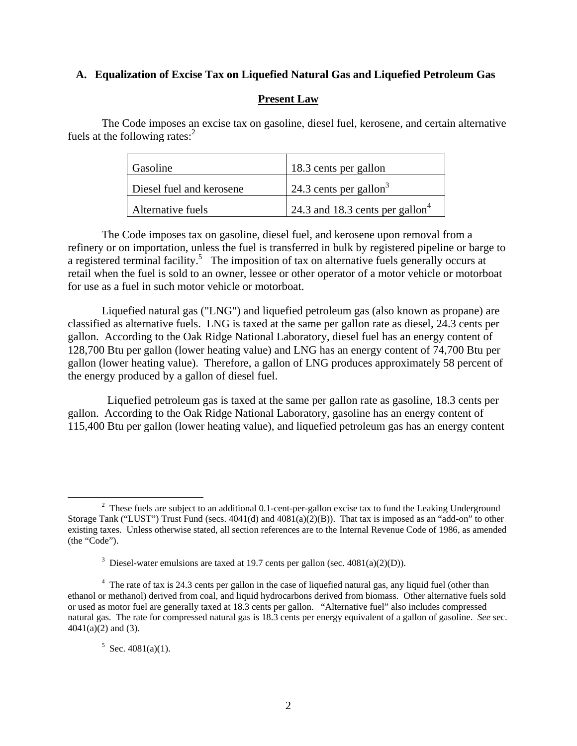## **A. Equalization of Excise Tax on Liquefied Natural Gas and Liquefied Petroleum Gas**

## **Present Law**

The Code imposes an excise tax on gasoline, diesel fuel, kerosene, and certain alternative fuels at the following rates: $<sup>2</sup>$ </sup>

| Gasoline                 | 18.3 cents per gallon                       |
|--------------------------|---------------------------------------------|
| Diesel fuel and kerosene | 24.3 cents per gallon <sup>3</sup>          |
| Alternative fuels        | 24.3 and 18.3 cents per gallon <sup>4</sup> |

The Code imposes tax on gasoline, diesel fuel, and kerosene upon removal from a refinery or on importation, unless the fuel is transferred in bulk by registered pipeline or barge to a registered terminal facility.<sup>5</sup> The imposition of tax on alternative fuels generally occurs at retail when the fuel is sold to an owner, lessee or other operator of a motor vehicle or motorboat for use as a fuel in such motor vehicle or motorboat.

Liquefied natural gas ("LNG") and liquefied petroleum gas (also known as propane) are classified as alternative fuels. LNG is taxed at the same per gallon rate as diesel, 24.3 cents per gallon. According to the Oak Ridge National Laboratory, diesel fuel has an energy content of 128,700 Btu per gallon (lower heating value) and LNG has an energy content of 74,700 Btu per gallon (lower heating value). Therefore, a gallon of LNG produces approximately 58 percent of the energy produced by a gallon of diesel fuel.

 Liquefied petroleum gas is taxed at the same per gallon rate as gasoline, 18.3 cents per gallon. According to the Oak Ridge National Laboratory, gasoline has an energy content of 115,400 Btu per gallon (lower heating value), and liquefied petroleum gas has an energy content

#### $5$  Sec. 4081(a)(1).

 $\frac{1}{2}$  $2$  These fuels are subject to an additional 0.1-cent-per-gallon excise tax to fund the Leaking Underground Storage Tank ("LUST") Trust Fund (secs.  $4041(d)$  and  $4081(a)(2)(B)$ ). That tax is imposed as an "add-on" to other existing taxes. Unless otherwise stated, all section references are to the Internal Revenue Code of 1986, as amended (the "Code").

<sup>&</sup>lt;sup>3</sup> Diesel-water emulsions are taxed at 19.7 cents per gallon (sec.  $4081(a)(2)(D)$ ).

<sup>&</sup>lt;sup>4</sup> The rate of tax is 24.3 cents per gallon in the case of liquefied natural gas, any liquid fuel (other than ethanol or methanol) derived from coal, and liquid hydrocarbons derived from biomass. Other alternative fuels sold or used as motor fuel are generally taxed at 18.3 cents per gallon. "Alternative fuel" also includes compressed natural gas. The rate for compressed natural gas is 18.3 cents per energy equivalent of a gallon of gasoline. *See* sec.  $4041(a)(2)$  and (3).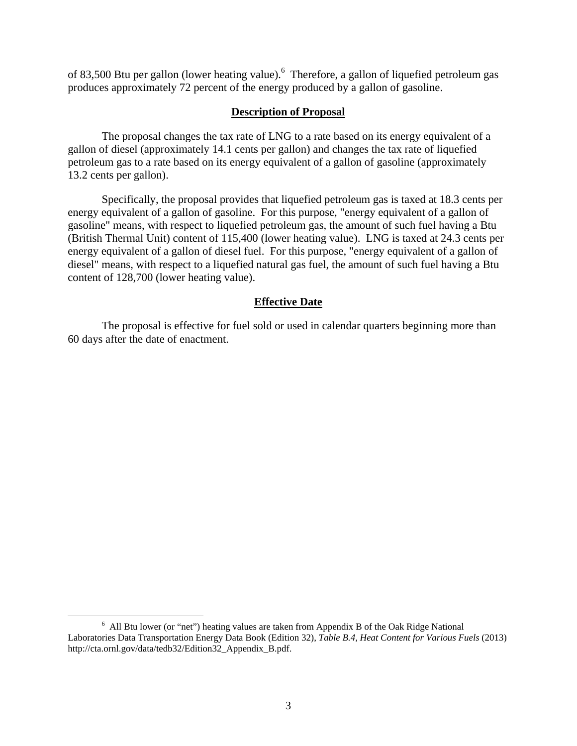of 83,500 Btu per gallon (lower heating value). <sup>6</sup> Therefore, a gallon of liquefied petroleum gas produces approximately 72 percent of the energy produced by a gallon of gasoline.

#### **Description of Proposal**

The proposal changes the tax rate of LNG to a rate based on its energy equivalent of a gallon of diesel (approximately 14.1 cents per gallon) and changes the tax rate of liquefied petroleum gas to a rate based on its energy equivalent of a gallon of gasoline (approximately 13.2 cents per gallon).

Specifically, the proposal provides that liquefied petroleum gas is taxed at 18.3 cents per energy equivalent of a gallon of gasoline. For this purpose, "energy equivalent of a gallon of gasoline" means, with respect to liquefied petroleum gas, the amount of such fuel having a Btu (British Thermal Unit) content of 115,400 (lower heating value). LNG is taxed at 24.3 cents per energy equivalent of a gallon of diesel fuel. For this purpose, "energy equivalent of a gallon of diesel" means, with respect to a liquefied natural gas fuel, the amount of such fuel having a Btu content of 128,700 (lower heating value).

#### **Effective Date**

The proposal is effective for fuel sold or used in calendar quarters beginning more than 60 days after the date of enactment.

 <sup>6</sup>  $6$  All Btu lower (or "net") heating values are taken from Appendix B of the Oak Ridge National Laboratories Data Transportation Energy Data Book (Edition 32), *Table B.4, Heat Content for Various Fuels* (2013) http://cta.ornl.gov/data/tedb32/Edition32\_Appendix\_B.pdf.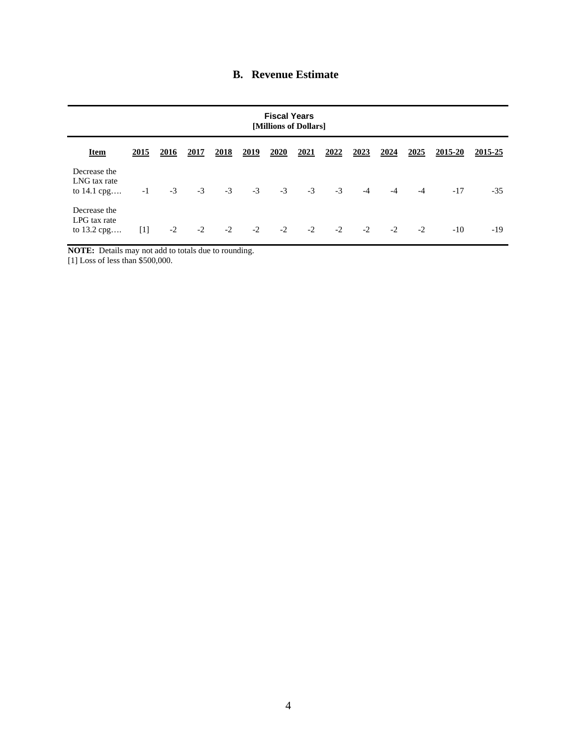|  | <b>B.</b> Revenue Estimate |
|--|----------------------------|
|--|----------------------------|

| <b>Fiscal Years</b><br>[Millions of Dollars] |       |      |             |             |      |      |      |      |      |      |      |         |         |
|----------------------------------------------|-------|------|-------------|-------------|------|------|------|------|------|------|------|---------|---------|
| <b>Item</b>                                  | 2015  | 2016 | <u>2017</u> | <u>2018</u> | 2019 | 2020 | 2021 | 2022 | 2023 | 2024 | 2025 | 2015-20 | 2015-25 |
| Decrease the<br>LNG tax rate<br>to 14.1 cpg  | $-1$  | $-3$ | $-3$        | $-3$        | $-3$ | $-3$ | $-3$ | $-3$ | $-4$ | $-4$ | $-4$ | $-17$   | $-35$   |
| Decrease the<br>LPG tax rate<br>to 13.2 cpg  | $[1]$ | $-2$ | $-2$        | $-2$        | $-2$ | $-2$ | $-2$ | $-2$ | $-2$ | $-2$ | $-2$ | $-10$   | $-19$   |

**NOTE:** Details may not add to totals due to rounding.

[1] Loss of less than \$500,000.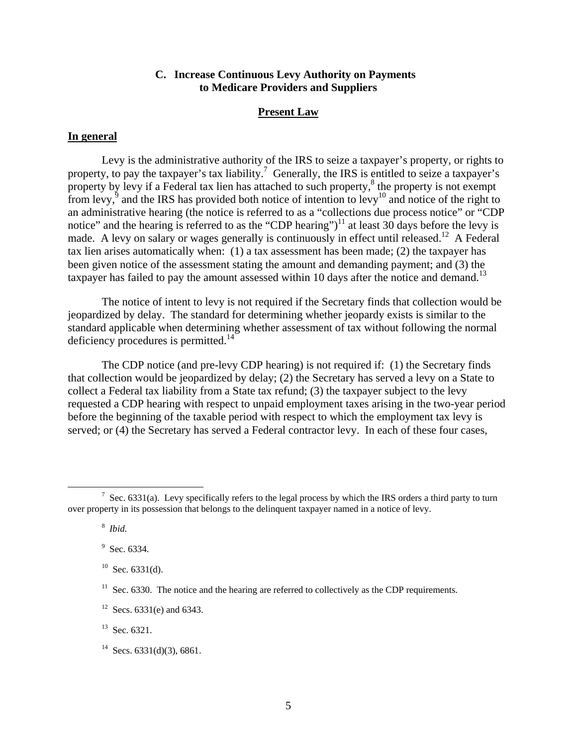## **C. Increase Continuous Levy Authority on Payments to Medicare Providers and Suppliers**

#### **Present Law**

#### **In general**

Levy is the administrative authority of the IRS to seize a taxpayer's property, or rights to property, to pay the taxpayer's tax liability.<sup>7</sup> Generally, the IRS is entitled to seize a taxpayer's property by levy if a Federal tax lien has attached to such property,<sup>8</sup> the property is not exempt from levy,  $\frac{5}{9}$  and the IRS has provided both notice of intention to levy<sup>10</sup> and notice of the right to an administrative hearing (the notice is referred to as a "collections due process notice" or "CDP notice" and the hearing is referred to as the "CDP hearing")<sup>11</sup> at least 30 days before the levy is made. A levy on salary or wages generally is continuously in effect until released.<sup>12</sup> A Federal tax lien arises automatically when: (1) a tax assessment has been made; (2) the taxpayer has been given notice of the assessment stating the amount and demanding payment; and (3) the taxpayer has failed to pay the amount assessed within 10 days after the notice and demand.<sup>13</sup>

The notice of intent to levy is not required if the Secretary finds that collection would be jeopardized by delay. The standard for determining whether jeopardy exists is similar to the standard applicable when determining whether assessment of tax without following the normal deficiency procedures is permitted. $14$ 

The CDP notice (and pre-levy CDP hearing) is not required if: (1) the Secretary finds that collection would be jeopardized by delay; (2) the Secretary has served a levy on a State to collect a Federal tax liability from a State tax refund; (3) the taxpayer subject to the levy requested a CDP hearing with respect to unpaid employment taxes arising in the two-year period before the beginning of the taxable period with respect to which the employment tax levy is served; or (4) the Secretary has served a Federal contractor levy. In each of these four cases,

 <sup>7</sup> <sup>7</sup> Sec. 6331(a). Levy specifically refers to the legal process by which the IRS orders a third party to turn over property in its possession that belongs to the delinquent taxpayer named in a notice of levy.

<sup>8</sup> *Ibid*.

<sup>&</sup>lt;sup>9</sup> Sec. 6334.

 $10$  Sec. 6331(d).

 $11$  Sec. 6330. The notice and the hearing are referred to collectively as the CDP requirements.

<sup>&</sup>lt;sup>12</sup> Secs. 6331(e) and 6343.

<sup>&</sup>lt;sup>13</sup> Sec. 6321.

<sup>&</sup>lt;sup>14</sup> Secs. 6331(d)(3), 6861.